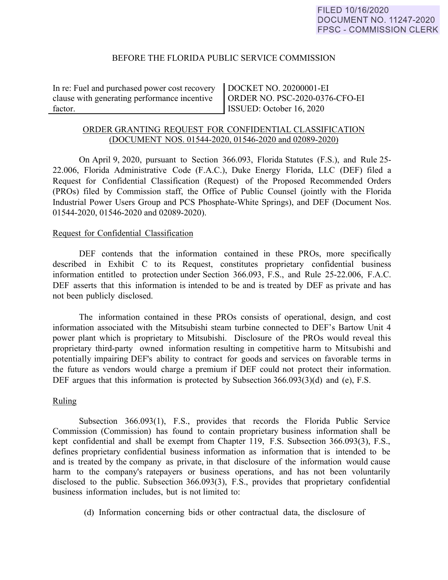# BEFORE THE FLORIDA PUBLIC SERVICE COMMISSION

In re: Fuel and purchased power cost recovery clause with generating performance incentive factor.

DOCKET NO. 20200001-EI ORDER NO. PSC-2020-0376-CFO-EI ISSUED: October 16, 2020

# ORDER GRANTING REQUEST FOR CONFIDENTIAL CLASSIFICATION (DOCUMENT NOS. 01544-2020, 01546-2020 and 02089-2020)

On April 9, 2020, pursuant to Section 366.093, Florida Statutes (F.S.), and Rule 25- 22.006, Florida Administrative Code (F.A.C.), Duke Energy Florida, LLC (DEF) filed a Request for Confidential Classification (Request) of the Proposed Recommended Orders (PROs) filed by Commission staff, the Office of Public Counsel (jointly with the Florida Industrial Power Users Group and PCS Phosphate-White Springs), and DEF (Document Nos. 01544-2020, 01546-2020 and 02089-2020).

#### Request for Confidential Classification

DEF contends that the information contained in these PROs, more specifically described in Exhibit C to its Request, constitutes proprietary confidential business information entitled to protection under Section 366.093, F.S., and Rule 25-22.006, F.A.C. DEF asserts that this information is intended to be and is treated by DEF as private and has not been publicly disclosed.

The information contained in these PROs consists of operational, design, and cost information associated with the Mitsubishi steam turbine connected to DEF's Bartow Unit 4 power plant which is proprietary to Mitsubishi. Disclosure of the PROs would reveal this proprietary third-party owned information resulting in competitive harm to Mitsubishi and potentially impairing DEF's ability to contract for goods and services on favorable terms in the future as vendors would charge a premium if DEF could not protect their information. DEF argues that this information is protected by Subsection 366.093(3)(d) and (e), F.S.

# Ruling

Subsection 366.093(1), F.S., provides that records the Florida Public Service Commission (Commission) has found to contain proprietary business information shall be kept confidential and shall be exempt from Chapter 119, F.S. Subsection 366.093(3), F.S., defines proprietary confidential business information as information that is intended to be and is treated by the company as private, in that disclosure of the information would cause harm to the company's ratepayers or business operations, and has not been voluntarily disclosed to the public. Subsection 366.093(3), F.S., provides that proprietary confidential business information includes, but is not limited to:

(d) Information concerning bids or other contractual data, the disclosure of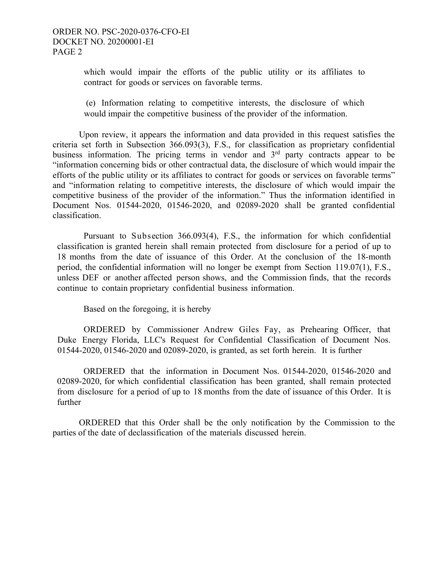which would impair the efforts of the public utility or its affiliates to contract for goods or services on favorable terms.

(e) Information relating to competitive interests, the disclosure of which would impair the competitive business of the provider of the information.

 Upon review, it appears the information and data provided in this request satisfies the criteria set forth in Subsection 366.093(3), F.S., for classification as proprietary confidential business information. The pricing terms in vendor and  $3<sup>rd</sup>$  party contracts appear to be "information concerning bids or other contractual data, the disclosure of which would impair the efforts of the public utility or its affiliates to contract for goods or services on favorable terms" and "information relating to competitive interests, the disclosure of which would impair the competitive business of the provider of the information." Thus the information identified in Document Nos. 01544-2020, 01546-2020, and 02089-2020 shall be granted confidential classification.

Pursuant to Subsection 366.093(4), F.S., the information for which confidential classification is granted herein shall remain protected from disclosure for a period of up to 18 months from the date of issuance of this Order. At the conclusion of the 18-month period, the confidential information will no longer be exempt from Section 119.07(1), F.S., unless DEF or another affected person shows, and the Commission finds, that the records continue to contain proprietary confidential business information.

Based on the foregoing, it is hereby

ORDERED by Commissioner Andrew Giles Fay, as Prehearing Officer, that Duke Energy Florida, LLC's Request for Confidential Classification of Document Nos. 01544-2020, 01546-2020 and 02089-2020, is granted, as set forth herein. It is further

ORDERED that the information in Document Nos. 01544-2020, 01546-2020 and 02089-2020, for which confidential classification has been granted, shall remain protected from disclosure for a period of up to 18 months from the date of issuance of this Order. It is further

 ORDERED that this Order shall be the only notification by the Commission to the parties of the date of declassification of the materials discussed herein.